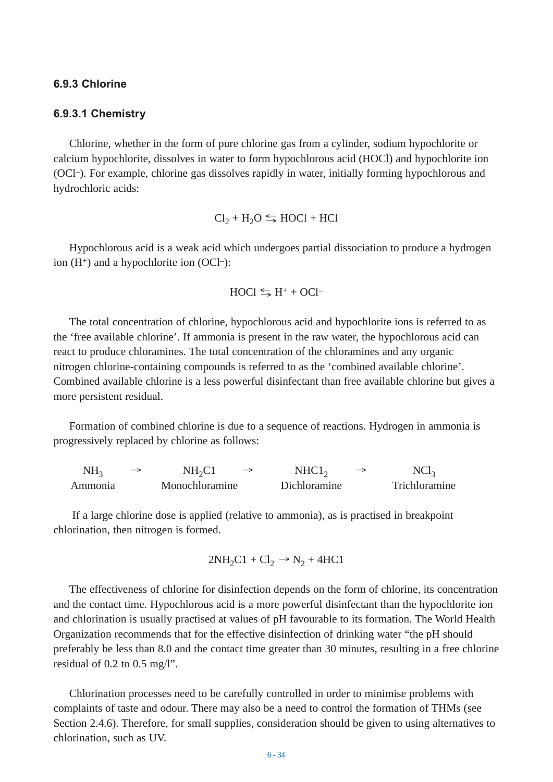#### **6.9.3 Chlorine**

#### **6.9.3.1 Chemistry**

Chlorine, whether in the form of pure chlorine gas from a cylinder, sodium hypochlorite or calcium hypochlorite, dissolves in water to form hypochlorous acid (HOCl) and hypochlorite ion (OCl–). For example, chlorine gas dissolves rapidly in water, initially forming hypochlorous and hydrochloric acids:

$$
Cl_2 + H_2O \leq HOCl + HCl
$$

Hypochlorous acid is a weak acid which undergoes partial dissociation to produce a hydrogen ion  $(H^+)$  and a hypochlorite ion  $(OCl^-)$ :

$$
HOCI \leq H^+ + OCI^-
$$

The total concentration of chlorine, hypochlorous acid and hypochlorite ions is referred to as the 'free available chlorine'. If ammonia is present in the raw water, the hypochlorous acid can react to produce chloramines. The total concentration of the chloramines and any organic nitrogen chlorine-containing compounds is referred to as the 'combined available chlorine'. Combined available chlorine is a less powerful disinfectant than free available chlorine but gives a more persistent residual.

Formation of combined chlorine is due to a sequence of reactions. Hydrogen in ammonia is progressively replaced by chlorine as follows:

 $NH_3 \rightarrow NH_2Cl \rightarrow NHCl_2 \rightarrow NCl_3$ Ammonia Monochloramine Dichloramine Trichloramine  $NH_2Cl \rightarrow NHCl_2$ 

If a large chlorine dose is applied (relative to ammonia), as is practised in breakpoint chlorination, then nitrogen is formed.

$$
2NH_2Cl + Cl_2 \rightarrow N_2 + 4HCl
$$

The effectiveness of chlorine for disinfection depends on the form of chlorine, its concentration and the contact time. Hypochlorous acid is a more powerful disinfectant than the hypochlorite ion and chlorination is usually practised at values of pH favourable to its formation. The World Health Organization recommends that for the effective disinfection of drinking water "the pH should preferably be less than 8.0 and the contact time greater than 30 minutes, resulting in a free chlorine residual of 0.2 to 0.5 mg/l".

Chlorination processes need to be carefully controlled in order to minimise problems with complaints of taste and odour. There may also be a need to control the formation of THMs (see Section 2.4.6). Therefore, for small supplies, consideration should be given to using alternatives to chlorination, such as UV.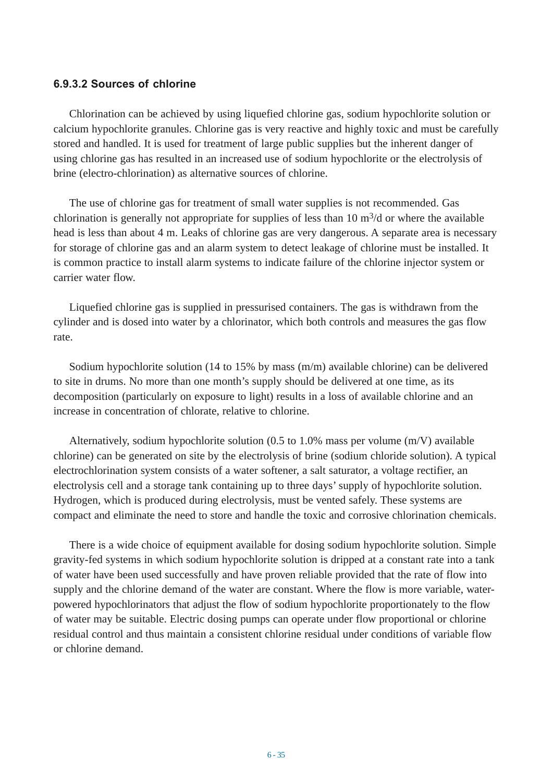### **6.9.3.2 Sources of chlorine**

Chlorination can be achieved by using liquefied chlorine gas, sodium hypochlorite solution or calcium hypochlorite granules. Chlorine gas is very reactive and highly toxic and must be carefully stored and handled. It is used for treatment of large public supplies but the inherent danger of using chlorine gas has resulted in an increased use of sodium hypochlorite or the electrolysis of brine (electro-chlorination) as alternative sources of chlorine.

The use of chlorine gas for treatment of small water supplies is not recommended. Gas chlorination is generally not appropriate for supplies of less than  $10 \text{ m}^3/\text{d}$  or where the available head is less than about 4 m. Leaks of chlorine gas are very dangerous. A separate area is necessary for storage of chlorine gas and an alarm system to detect leakage of chlorine must be installed. It is common practice to install alarm systems to indicate failure of the chlorine injector system or carrier water flow.

Liquefied chlorine gas is supplied in pressurised containers. The gas is withdrawn from the cylinder and is dosed into water by a chlorinator, which both controls and measures the gas flow rate.

Sodium hypochlorite solution (14 to 15% by mass (m/m) available chlorine) can be delivered to site in drums. No more than one month's supply should be delivered at one time, as its decomposition (particularly on exposure to light) results in a loss of available chlorine and an increase in concentration of chlorate, relative to chlorine.

Alternatively, sodium hypochlorite solution (0.5 to 1.0% mass per volume (m/V) available chlorine) can be generated on site by the electrolysis of brine (sodium chloride solution). A typical electrochlorination system consists of a water softener, a salt saturator, a voltage rectifier, an electrolysis cell and a storage tank containing up to three days' supply of hypochlorite solution. Hydrogen, which is produced during electrolysis, must be vented safely. These systems are compact and eliminate the need to store and handle the toxic and corrosive chlorination chemicals.

There is a wide choice of equipment available for dosing sodium hypochlorite solution. Simple gravity-fed systems in which sodium hypochlorite solution is dripped at a constant rate into a tank of water have been used successfully and have proven reliable provided that the rate of flow into supply and the chlorine demand of the water are constant. Where the flow is more variable, waterpowered hypochlorinators that adjust the flow of sodium hypochlorite proportionately to the flow of water may be suitable. Electric dosing pumps can operate under flow proportional or chlorine residual control and thus maintain a consistent chlorine residual under conditions of variable flow or chlorine demand.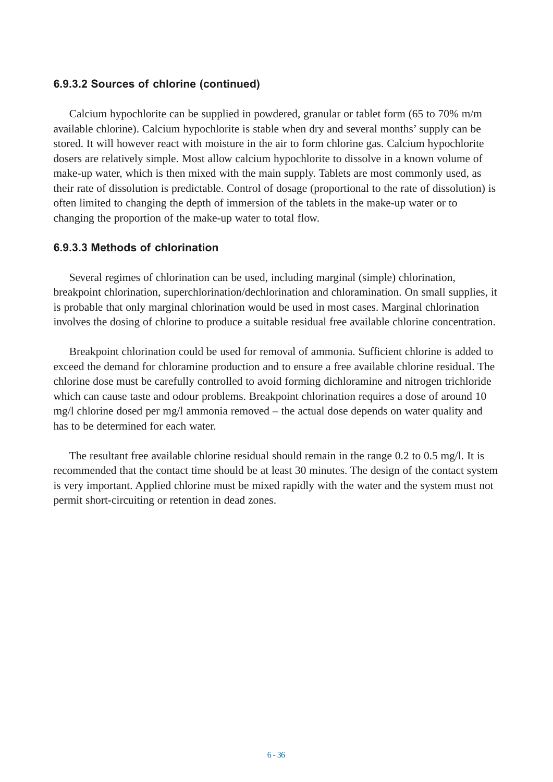## **6.9.3.2 Sources of chlorine (continued)**

Calcium hypochlorite can be supplied in powdered, granular or tablet form (65 to 70% m/m available chlorine). Calcium hypochlorite is stable when dry and several months' supply can be stored. It will however react with moisture in the air to form chlorine gas. Calcium hypochlorite dosers are relatively simple. Most allow calcium hypochlorite to dissolve in a known volume of make-up water, which is then mixed with the main supply. Tablets are most commonly used, as their rate of dissolution is predictable. Control of dosage (proportional to the rate of dissolution) is often limited to changing the depth of immersion of the tablets in the make-up water or to changing the proportion of the make-up water to total flow.

# **6.9.3.3 Methods of chlorination**

Several regimes of chlorination can be used, including marginal (simple) chlorination, breakpoint chlorination, superchlorination/dechlorination and chloramination. On small supplies, it is probable that only marginal chlorination would be used in most cases. Marginal chlorination involves the dosing of chlorine to produce a suitable residual free available chlorine concentration.

Breakpoint chlorination could be used for removal of ammonia. Sufficient chlorine is added to exceed the demand for chloramine production and to ensure a free available chlorine residual. The chlorine dose must be carefully controlled to avoid forming dichloramine and nitrogen trichloride which can cause taste and odour problems. Breakpoint chlorination requires a dose of around 10 mg/l chlorine dosed per mg/l ammonia removed – the actual dose depends on water quality and has to be determined for each water.

The resultant free available chlorine residual should remain in the range 0.2 to 0.5 mg/l. It is recommended that the contact time should be at least 30 minutes. The design of the contact system is very important. Applied chlorine must be mixed rapidly with the water and the system must not permit short-circuiting or retention in dead zones.